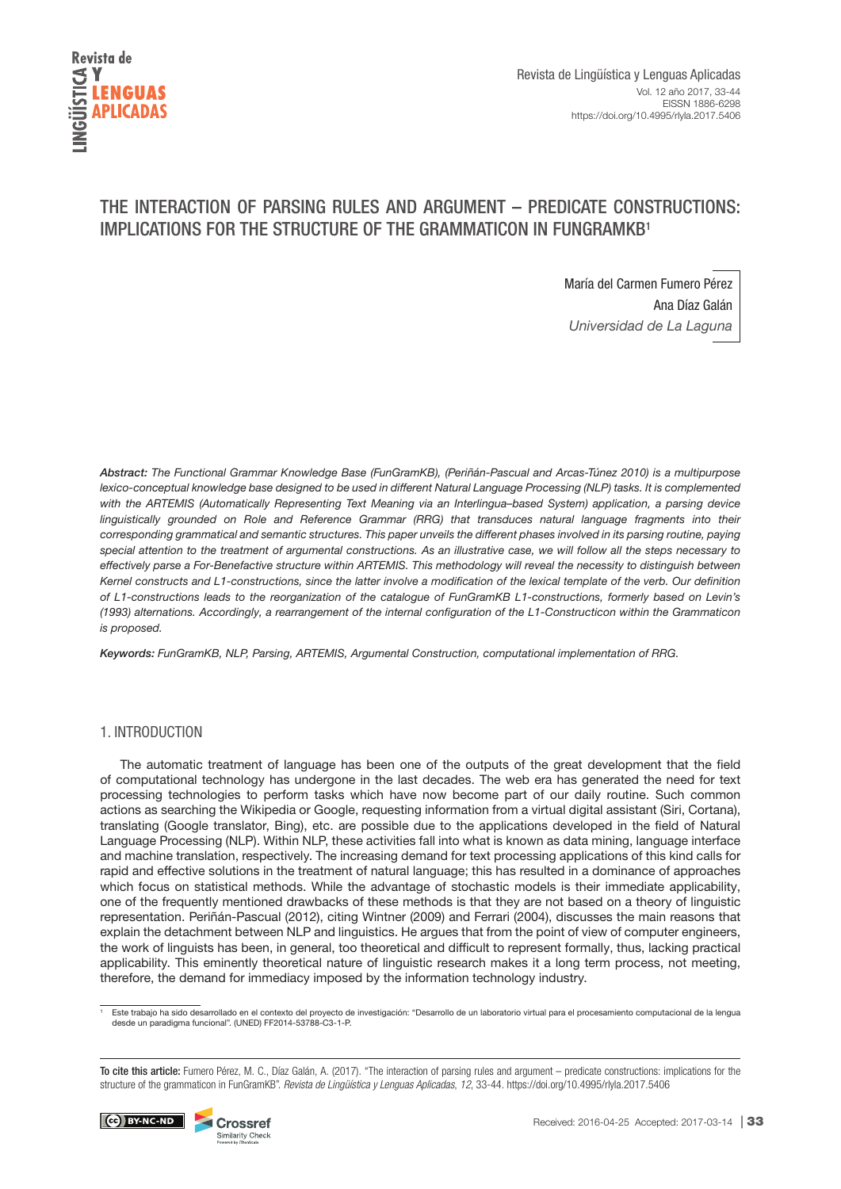

# THE INTERACTION OF PARSING RULES AND ARGUMENT – PREDICATE CONSTRUCTIONS: IMPLICATIONS FOR THE STRUCTURE OF THE GRAMMATICON IN FUNGRAMKB1

María del Carmen Fumero Pérez Ana Díaz Galán Universidad de La Laguna

*Abstract:* The Functional Grammar Knowledge Base (FunGramKB), (Periñán-Pascual and Arcas-Túnez 2010) is a multipurpose lexico-conceptual knowledge base designed to be used in different Natural Language Processing (NLP) tasks. It is complemented with the ARTEMIS (Automatically Representing Text Meaning via an Interlingua–based System) application, a parsing device linguistically grounded on Role and Reference Grammar (RRG) that transduces natural language fragments into their corresponding grammatical and semantic structures. This paper unveils the different phases involved in its parsing routine, paying special attention to the treatment of argumental constructions. As an illustrative case, we will follow all the steps necessary to effectively parse a For-Benefactive structure within ARTEMIS. This methodology will reveal the necessity to distinguish between Kernel constructs and L1-constructions, since the latter involve a modification of the lexical template of the verb. Our definition of L1-constructions leads to the reorganization of the catalogue of FunGramKB L1-constructions, formerly based on Levin's (1993) alternations. Accordingly, a rearrangement of the internal configuration of the L1-Constructicon within the Grammaticon is proposed.

*Keywords:* FunGramKB, NLP, Parsing, ARTEMIS, Argumental Construction, computational implementation of RRG.

# 1. INTRODUCTION

The automatic treatment of language has been one of the outputs of the great development that the field of computational technology has undergone in the last decades. The web era has generated the need for text processing technologies to perform tasks which have now become part of our daily routine. Such common actions as searching the Wikipedia or Google, requesting information from a virtual digital assistant (Siri, Cortana), translating (Google translator, Bing), etc. are possible due to the applications developed in the field of Natural Language Processing (NLP). Within NLP, these activities fall into what is known as data mining, language interface and machine translation, respectively. The increasing demand for text processing applications of this kind calls for rapid and effective solutions in the treatment of natural language; this has resulted in a dominance of approaches which focus on statistical methods. While the advantage of stochastic models is their immediate applicability, one of the frequently mentioned drawbacks of these methods is that they are not based on a theory of linguistic representation. Periñán-Pascual (2012), citing Wintner (2009) and Ferrari (2004), discusses the main reasons that explain the detachment between NLP and linguistics. He argues that from the point of view of computer engineers, the work of linguists has been, in general, too theoretical and difficult to represent formally, thus, lacking practical applicability. This eminently theoretical nature of linguistic research makes it a long term process, not meeting, therefore, the demand for immediacy imposed by the information technology industry.

<sup>1</sup> Este trabajo ha sido desarrollado en el contexto del proyecto de investigación: "Desarrollo de un laboratorio virtual para el procesamiento computacional de la lengua<br>desde un paradigma funcional". (UNED) FF2014-53788-

To cite this article: Fumero Pérez, M. C., Díaz Galán, A. (2017). "The interaction of parsing rules and argument – predicate constructions: implications for the structure of the grammaticon in FunGramKB". *Revista de Lingüística y Lenguas Aplicadas*, *12*, 33-44. https://doi.org/10.4995/rlyla.2017.5406

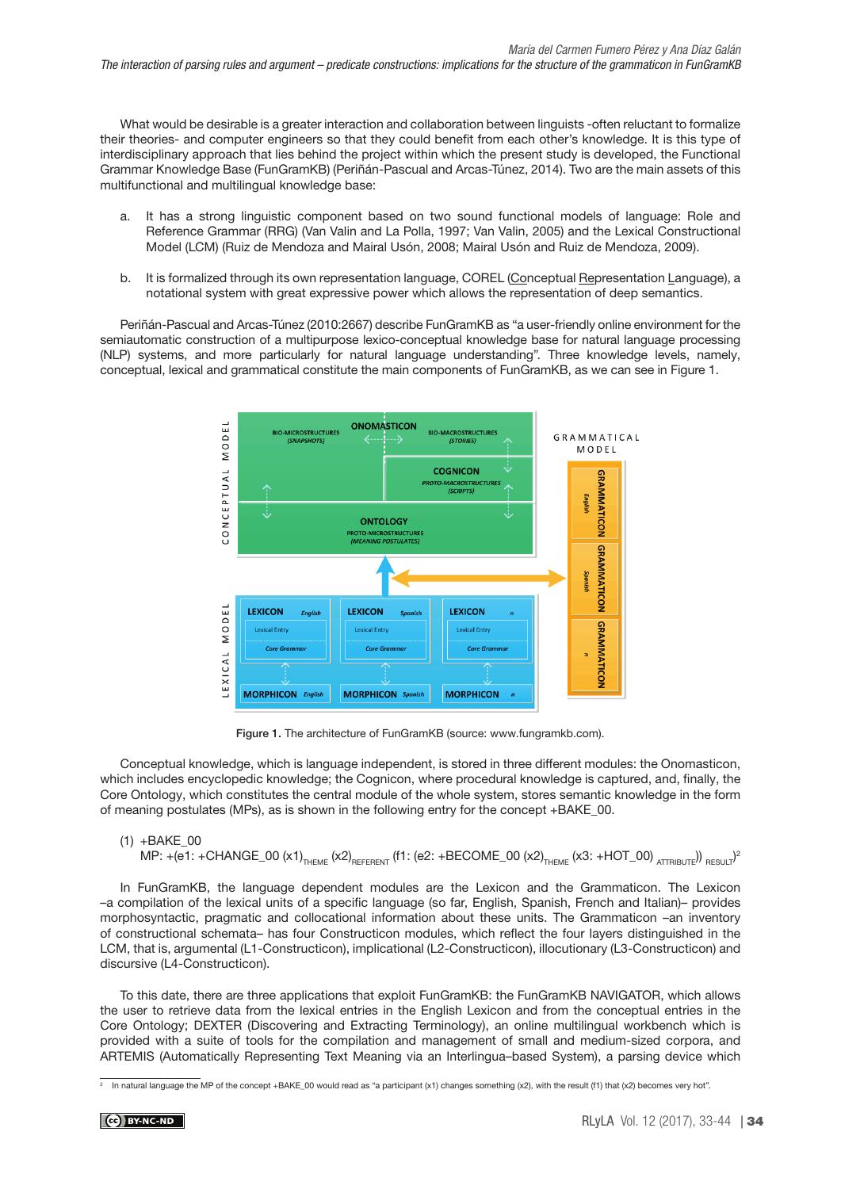What would be desirable is a greater interaction and collaboration between linguists -often reluctant to formalize their theories- and computer engineers so that they could benefit from each other's knowledge. It is this type of interdisciplinary approach that lies behind the project within which the present study is developed, the Functional Grammar Knowledge Base (FunGramKB) (Periñán-Pascual and Arcas-Túnez, 2014). Two are the main assets of this multifunctional and multilingual knowledge base:

- a. It has a strong linguistic component based on two sound functional models of language: Role and Reference Grammar (RRG) (Van Valin and La Polla, 1997; Van Valin, 2005) and the Lexical Constructional Model (LCM) (Ruiz de Mendoza and Mairal Usón, 2008; Mairal Usón and Ruiz de Mendoza, 2009).
- b. It is formalized through its own representation language, COREL (Conceptual Representation Language), a notational system with great expressive power which allows the representation of deep semantics.

Periñán-Pascual and Arcas-Túnez (2010:2667) describe FunGramKB as "a user-friendly online environment for the semiautomatic construction of a multipurpose lexico-conceptual knowledge base for natural language processing (NLP) systems, and more particularly for natural language understanding". Three knowledge levels, namely, conceptual, lexical and grammatical constitute the main components of FunGramKB, as we can see in Figure 1.



Figure 1. The architecture of FunGramKB (source: [www.fungramkb.com\)](http://www.Fungramkb.Com).

Conceptual knowledge, which is language independent, is stored in three different modules: the Onomasticon, which includes encyclopedic knowledge; the Cognicon, where procedural knowledge is captured, and, finally, the Core Ontology, which constitutes the central module of the whole system, stores semantic knowledge in the form of meaning postulates (MPs), as is shown in the following entry for the concept +BAKE\_00.

# (1) +BAKE\_00

MP: +(e1: +CHANGE\_00 (x1)<sub>theme</sub> (x2)<sub>referent</sub> (f1: (e2: +BECOME\_00 (x2)<sub>theme</sub> (x3: +HOT\_00) <sub>attribute</sub>)) <sub>result</sub>)<sup>2</sup>

In FunGramKB, the language dependent modules are the Lexicon and the Grammaticon. The Lexicon –a compilation of the lexical units of a specific language (so far, English, Spanish, French and Italian)– provides morphosyntactic, pragmatic and collocational information about these units. The Grammaticon –an inventory of constructional schemata– has four Constructicon modules, which reflect the four layers distinguished in the LCM, that is, argumental (L1-Constructicon), implicational (L2-Constructicon), illocutionary (L3-Constructicon) and discursive (L4-Constructicon).

To this date, there are three applications that exploit FunGramKB: the FunGramKB NAVIGATOR, which allows the user to retrieve data from the lexical entries in the English Lexicon and from the conceptual entries in the Core Ontology; DEXTER (Discovering and Extracting Terminology), an online multilingual workbench which is provided with a suite of tools for the compilation and management of small and medium-sized corpora, and ARTEMIS (Automatically Representing Text Meaning via an Interlingua–based System), a parsing device which

 $2$  In natural language the MP of the concept +BAKE\_00 would read as "a participant (x1) changes something (x2), with the result (f1) that (x2) becomes very hot".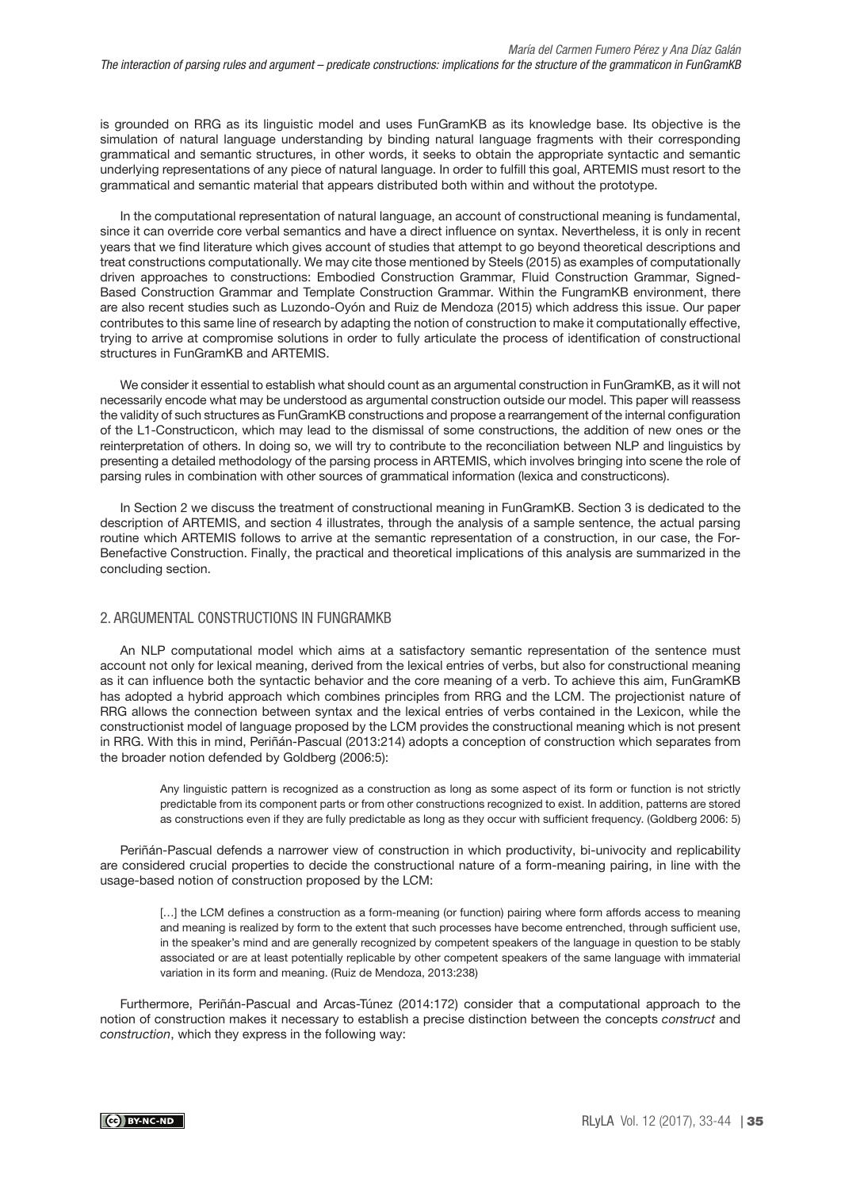is grounded on RRG as its linguistic model and uses FunGramKB as its knowledge base. Its objective is the simulation of natural language understanding by binding natural language fragments with their corresponding grammatical and semantic structures, in other words, it seeks to obtain the appropriate syntactic and semantic underlying representations of any piece of natural language. In order to fulfill this goal, ARTEMIS must resort to the grammatical and semantic material that appears distributed both within and without the prototype.

In the computational representation of natural language, an account of constructional meaning is fundamental, since it can override core verbal semantics and have a direct influence on syntax. Nevertheless, it is only in recent years that we find literature which gives account of studies that attempt to go beyond theoretical descriptions and treat constructions computationally. We may cite those mentioned by Steels (2015) as examples of computationally driven approaches to constructions: Embodied Construction Grammar, Fluid Construction Grammar, Signed-Based Construction Grammar and Template Construction Grammar. Within the FungramKB environment, there are also recent studies such as Luzondo-Oyón and Ruiz de Mendoza (2015) which address this issue. Our paper contributes to this same line of research by adapting the notion of construction to make it computationally effective, trying to arrive at compromise solutions in order to fully articulate the process of identification of constructional structures in FunGramKB and ARTEMIS.

We consider it essential to establish what should count as an argumental construction in FunGramKB, as it will not necessarily encode what may be understood as argumental construction outside our model. This paper will reassess the validity of such structures as FunGramKB constructions and propose a rearrangement of the internal configuration of the L1-Constructicon, which may lead to the dismissal of some constructions, the addition of new ones or the reinterpretation of others. In doing so, we will try to contribute to the reconciliation between NLP and linguistics by presenting a detailed methodology of the parsing process in ARTEMIS, which involves bringing into scene the role of parsing rules in combination with other sources of grammatical information (lexica and constructicons).

In Section 2 we discuss the treatment of constructional meaning in FunGramKB. Section 3 is dedicated to the description of ARTEMIS, and section 4 illustrates, through the analysis of a sample sentence, the actual parsing routine which ARTEMIS follows to arrive at the semantic representation of a construction, in our case, the For-Benefactive Construction. Finally, the practical and theoretical implications of this analysis are summarized in the concluding section.

# 2. ARGUMENTAL CONSTRUCTIONS IN FUNGRAMKB

An NLP computational model which aims at a satisfactory semantic representation of the sentence must account not only for lexical meaning, derived from the lexical entries of verbs, but also for constructional meaning as it can influence both the syntactic behavior and the core meaning of a verb. To achieve this aim, FunGramKB has adopted a hybrid approach which combines principles from RRG and the LCM. The projectionist nature of RRG allows the connection between syntax and the lexical entries of verbs contained in the Lexicon, while the constructionist model of language proposed by the LCM provides the constructional meaning which is not present in RRG. With this in mind, Periñán-Pascual (2013:214) adopts a conception of construction which separates from the broader notion defended by Goldberg (2006:5):

Any linguistic pattern is recognized as a construction as long as some aspect of its form or function is not strictly predictable from its component parts or from other constructions recognized to exist. In addition, patterns are stored as constructions even if they are fully predictable as long as they occur with sufficient frequency. (Goldberg 2006: 5)

Periñán-Pascual defends a narrower view of construction in which productivity, bi-univocity and replicability are considered crucial properties to decide the constructional nature of a form-meaning pairing, in line with the usage-based notion of construction proposed by the LCM:

[...] the LCM defines a construction as a form-meaning (or function) pairing where form affords access to meaning and meaning is realized by form to the extent that such processes have become entrenched, through sufficient use, in the speaker's mind and are generally recognized by competent speakers of the language in question to be stably associated or are at least potentially replicable by other competent speakers of the same language with immaterial variation in its form and meaning. (Ruiz de Mendoza, 2013:238)

Furthermore, Periñán-Pascual and Arcas-Túnez (2014:172) consider that a computational approach to the notion of construction makes it necessary to establish a precise distinction between the concepts construct and construction, which they express in the following way: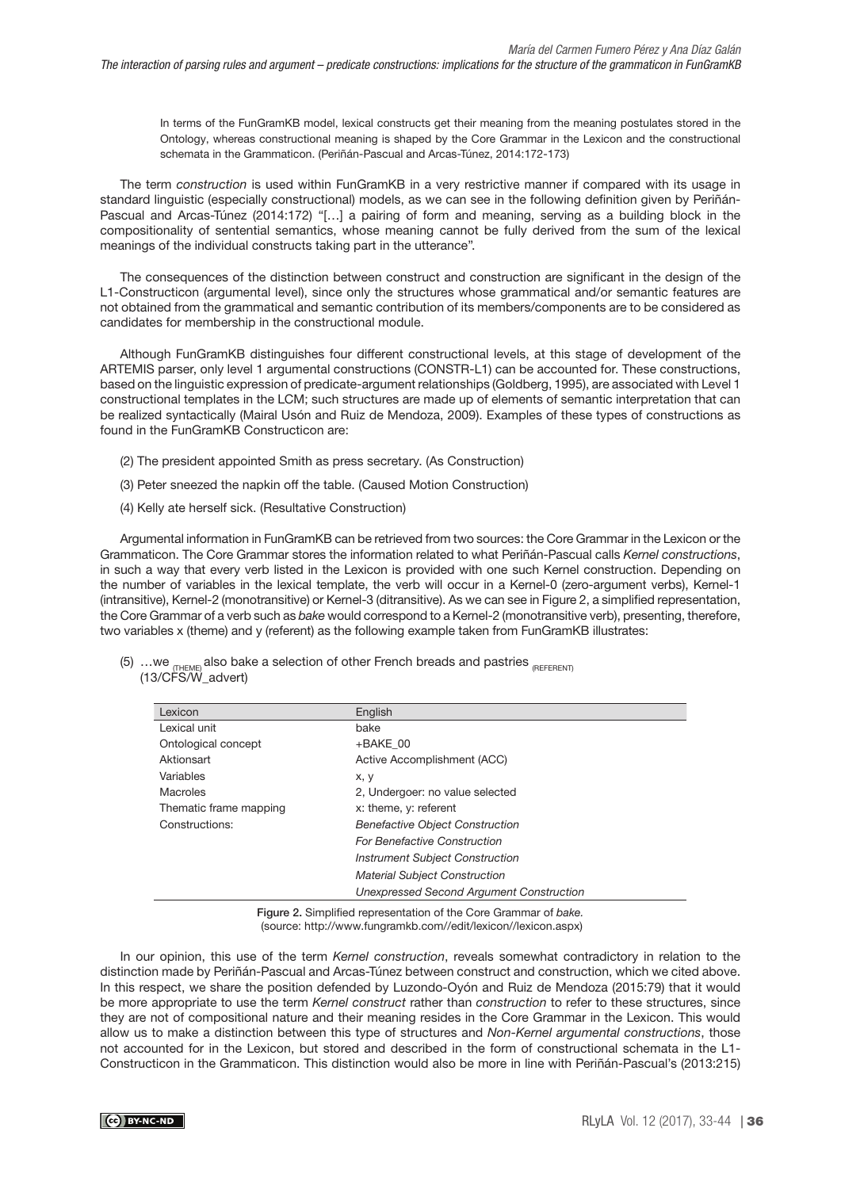In terms of the FunGramKB model, lexical constructs get their meaning from the meaning postulates stored in the Ontology, whereas constructional meaning is shaped by the Core Grammar in the Lexicon and the constructional schemata in the Grammaticon. (Periñán-Pascual and Arcas-Túnez, 2014:172-173)

The term construction is used within FunGramKB in a very restrictive manner if compared with its usage in standard linguistic (especially constructional) models, as we can see in the following definition given by Periñán-Pascual and Arcas-Túnez (2014:172) "[…] a pairing of form and meaning, serving as a building block in the compositionality of sentential semantics, whose meaning cannot be fully derived from the sum of the lexical meanings of the individual constructs taking part in the utterance".

The consequences of the distinction between construct and construction are significant in the design of the L1-Constructicon (argumental level), since only the structures whose grammatical and/or semantic features are not obtained from the grammatical and semantic contribution of its members/components are to be considered as candidates for membership in the constructional module.

Although FunGramKB distinguishes four different constructional levels, at this stage of development of the ARTEMIS parser, only level 1 argumental constructions (CONSTR-L1) can be accounted for. These constructions, based on the linguistic expression of predicate-argument relationships (Goldberg, 1995), are associated with Level 1 constructional templates in the LCM; such structures are made up of elements of semantic interpretation that can be realized syntactically (Mairal Usón and Ruiz de Mendoza, 2009). Examples of these types of constructions as found in the FunGramKB Constructicon are:

- (2) The president appointed Smith as press secretary. (As Construction)
- (3) Peter sneezed the napkin off the table. (Caused Motion Construction)
- (4) Kelly ate herself sick. (Resultative Construction)

Argumental information in FunGramKB can be retrieved from two sources: the Core Grammar in the Lexicon or the Grammaticon. The Core Grammar stores the information related to what Periñán-Pascual calls Kernel constructions, in such a way that every verb listed in the Lexicon is provided with one such Kernel construction. Depending on the number of variables in the lexical template, the verb will occur in a Kernel-0 (zero-argument verbs), Kernel-1 (intransitive), Kernel-2 (monotransitive) or Kernel-3 (ditransitive). As we can see in Figure 2, a simplified representation, the Core Grammar of a verb such as bake would correspond to a Kernel-2 (monotransitive verb), presenting, therefore, two variables x (theme) and y (referent) as the following example taken from FunGramKB illustrates:

| (5) we $_{\textsf{\tiny{fIFEMEJ}}}$ also bake a selection of other French breads and pastries $_{\textsf{\tiny{fREFERENTJ}}}$ |  |  |  |  |  |
|-------------------------------------------------------------------------------------------------------------------------------|--|--|--|--|--|
| (13/CFS/W advert)                                                                                                             |  |  |  |  |  |

| Lexicon                | English                                         |
|------------------------|-------------------------------------------------|
| Lexical unit           | bake                                            |
| Ontological concept    | $+BAKE$ 00                                      |
| Aktionsart             | Active Accomplishment (ACC)                     |
| Variables              | x, y                                            |
| Macroles               | 2, Undergoer: no value selected                 |
| Thematic frame mapping | x: theme, y: referent                           |
| Constructions:         | <b>Benefactive Object Construction</b>          |
|                        | <b>For Benefactive Construction</b>             |
|                        | <b>Instrument Subject Construction</b>          |
|                        | <b>Material Subject Construction</b>            |
|                        | <b>Unexpressed Second Argument Construction</b> |

Figure 2. Simplified representation of the Core Grammar of bake. (source: [http://www.fungramkb.com//edit/lexicon//lexicon.aspx\)](http://www.fungramkb.com//edit/lexicon//lexicon.aspx)

In our opinion, this use of the term Kernel construction, reveals somewhat contradictory in relation to the distinction made by Periñán-Pascual and Arcas-Túnez between construct and construction, which we cited above. In this respect, we share the position defended by Luzondo-Oyón and Ruiz de Mendoza (2015:79) that it would be more appropriate to use the term Kernel construct rather than construction to refer to these structures, since they are not of compositional nature and their meaning resides in the Core Grammar in the Lexicon. This would allow us to make a distinction between this type of structures and Non-Kernel argumental constructions, those not accounted for in the Lexicon, but stored and described in the form of constructional schemata in the L1- Constructicon in the Grammaticon. This distinction would also be more in line with Periñán-Pascual's (2013:215)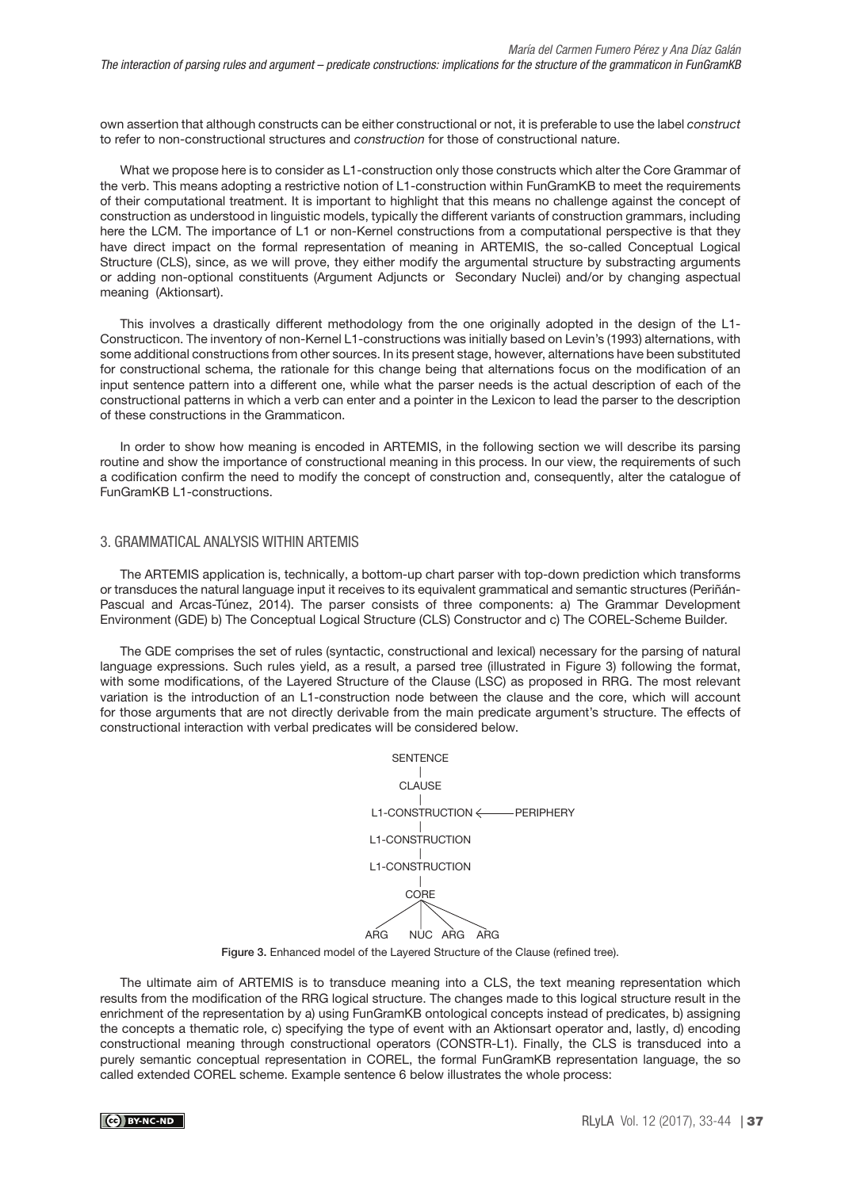own assertion that although constructs can be either constructional or not, it is preferable to use the label construct to refer to non-constructional structures and construction for those of constructional nature.

What we propose here is to consider as L1-construction only those constructs which alter the Core Grammar of the verb. This means adopting a restrictive notion of L1-construction within FunGramKB to meet the requirements of their computational treatment. It is important to highlight that this means no challenge against the concept of construction as understood in linguistic models, typically the different variants of construction grammars, including here the LCM. The importance of L1 or non-Kernel constructions from a computational perspective is that they have direct impact on the formal representation of meaning in ARTEMIS, the so-called Conceptual Logical Structure (CLS), since, as we will prove, they either modify the argumental structure by substracting arguments or adding non-optional constituents (Argument Adjuncts or Secondary Nuclei) and/or by changing aspectual meaning (Aktionsart).

This involves a drastically different methodology from the one originally adopted in the design of the L1- Constructicon. The inventory of non-Kernel L1-constructions was initially based on Levin's (1993) alternations, with some additional constructions from other sources. In its present stage, however, alternations have been substituted for constructional schema, the rationale for this change being that alternations focus on the modification of an input sentence pattern into a different one, while what the parser needs is the actual description of each of the constructional patterns in which a verb can enter and a pointer in the Lexicon to lead the parser to the description of these constructions in the Grammaticon.

In order to show how meaning is encoded in ARTEMIS, in the following section we will describe its parsing routine and show the importance of constructional meaning in this process. In our view, the requirements of such a codification confirm the need to modify the concept of construction and, consequently, alter the catalogue of FunGramKB L1-constructions.

### 3. GRAMMATICAL ANALYSIS WITHIN ARTEMIS

The ARTEMIS application is, technically, a bottom-up chart parser with top-down prediction which transforms or transduces the natural language input it receives to its equivalent grammatical and semantic structures (Periñán-Pascual and Arcas-Túnez, 2014). The parser consists of three components: a) The Grammar Development Environment (GDE) b) The Conceptual Logical Structure (CLS) Constructor and c) The COREL-Scheme Builder.

The GDE comprises the set of rules (syntactic, constructional and lexical) necessary for the parsing of natural language expressions. Such rules yield, as a result, a parsed tree (illustrated in Figure 3) following the format, with some modifications, of the Layered Structure of the Clause (LSC) as proposed in RRG. The most relevant variation is the introduction of an L1-construction node between the clause and the core, which will account for those arguments that are not directly derivable from the main predicate argument's structure. The effects of constructional interaction with verbal predicates will be considered below.

| <b>SENTENCE</b>                                                                 |
|---------------------------------------------------------------------------------|
| <b>CLAUSE</b>                                                                   |
|                                                                                 |
| L1-CONSTRUCTION                                                                 |
| L1-CONSTRUCTION                                                                 |
| <b>CORE</b>                                                                     |
|                                                                                 |
| NUC ARG ARG<br>ARG                                                              |
| Figure 3. Enhanced model of the Layered Structure of the Clause (refined tree). |

The ultimate aim of ARTEMIS is to transduce meaning into a CLS, the text meaning representation which results from the modification of the RRG logical structure. The changes made to this logical structure result in the enrichment of the representation by a) using FunGramKB ontological concepts instead of predicates, b) assigning the concepts a thematic role, c) specifying the type of event with an Aktionsart operator and, lastly, d) encoding constructional meaning through constructional operators (CONSTR-L1). Finally, the CLS is transduced into a purely semantic conceptual representation in COREL, the formal FunGramKB representation language, the so called extended COREL scheme. Example sentence 6 below illustrates the whole process: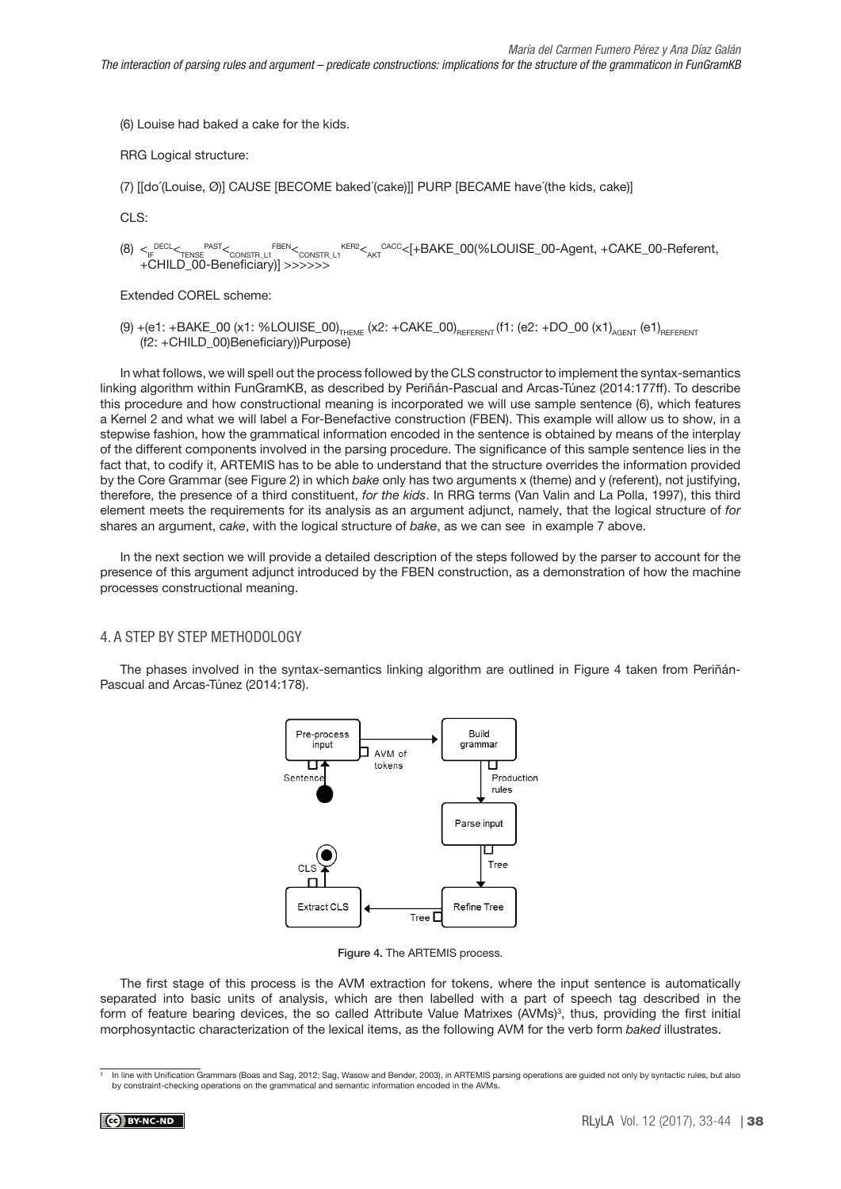(6) Louise had baked a cake for the kids.

RRG Logical structure:

(7) [[do´(Louise, Ø)] CAUSE [BECOME baked´(cake)]] PURP [BECAME have´(the kids, cake)]

CLS:

 $(8) <_{\text{IF}}^{\text{DECL}} <_{\text{TENSE}}^{\text{PAST}} <_{\text{CONSTR\_L1}}^{\text{FEBN}} <_{\text{CONSTR\_L1}}^{\text{KER2}} <_{\text{AKT}}^{\text{CACC}} < [+BAKE\_00,\text{8LOUISE\_00-Agent}, +CAKE\_00-Referent,$ +CHILD\_00-Beneficiary)] >>>>>>

Extended COREL scheme:

(9) +(e1: +BAKE\_00 (x1: %LOUISE\_00)<sub>THEME</sub> (x2: +CAKE\_00)<sub>REFERENT</sub> (f1: (e2: +DO\_00 (x1)<sub>AGENT</sub> (e1)<sub>REFERENT</sub> (f2: +CHILD\_00)Beneficiary))Purpose)

In what follows, we will spell out the process followed by the CLS constructor to implement the syntax-semantics linking algorithm within FunGramKB, as described by Periñán-Pascual and Arcas-Túnez (2014:177ff). To describe this procedure and how constructional meaning is incorporated we will use sample sentence (6), which features a Kernel 2 and what we will label a For-Benefactive construction (FBEN). This example will allow us to show, in a stepwise fashion, how the grammatical information encoded in the sentence is obtained by means of the interplay of the different components involved in the parsing procedure. The significance of this sample sentence lies in the fact that, to codify it, ARTEMIS has to be able to understand that the structure overrides the information provided by the Core Grammar (see Figure 2) in which bake only has two arguments x (theme) and y (referent), not justifying, therefore, the presence of a third constituent, for the kids. In RRG terms (Van Valin and La Polla, 1997), this third element meets the requirements for its analysis as an argument adjunct, namely, that the logical structure of for shares an argument, cake, with the logical structure of bake, as we can see in example 7 above.

In the next section we will provide a detailed description of the steps followed by the parser to account for the presence of this argument adjunct introduced by the FBEN construction, as a demonstration of how the machine processes constructional meaning.

# 4. A STEP BY STEP METHODOLOGY

The phases involved in the syntax-semantics linking algorithm are outlined in Figure 4 taken from Periñán-Pascual and Arcas-Túnez (2014:178).



Figure 4. The ARTEMIS process.

The first stage of this process is the AVM extraction for tokens, where the input sentence is automatically separated into basic units of analysis, which are then labelled with a part of speech tag described in the form of feature bearing devices, the so called Attribute Value Matrixes (AVMs)<sup>3</sup>, thus, providing the first initial morphosyntactic characterization of the lexical items, as the following AVM for the verb form baked illustrates.

In line with Unification Grammars (Boas and Sag, 2012; Sag, Wasow and Bender, 2003), in ARTEMIS parsing operations are guided not only by syntactic rules, but also by constraint-checking operations on the grammatical and semantic information encoded in the AVMs.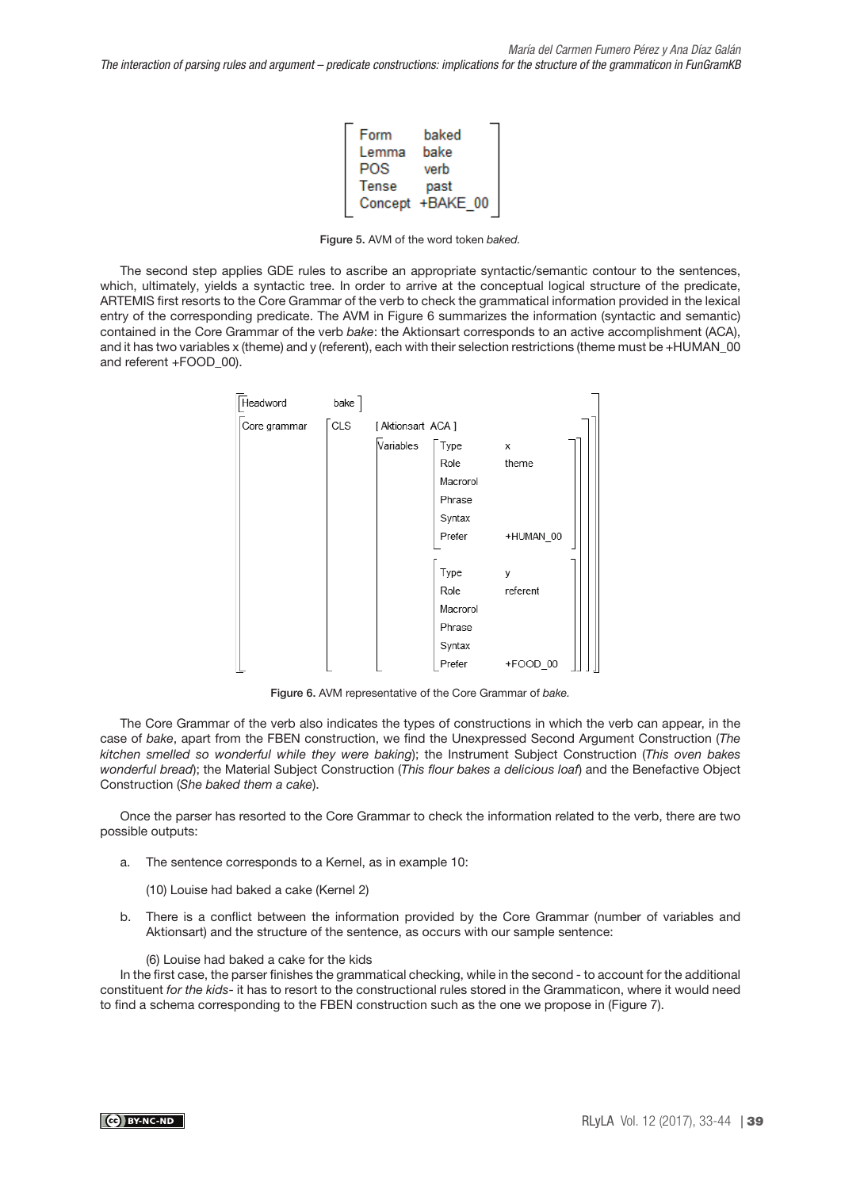| Form  | baked            |
|-------|------------------|
| Lemma | bake             |
| POS   | verb             |
| Tense | past             |
|       | Concept +BAKE 00 |

Figure 5. AVM of the word token baked.

The second step applies GDE rules to ascribe an appropriate syntactic/semantic contour to the sentences, which, ultimately, yields a syntactic tree. In order to arrive at the conceptual logical structure of the predicate, ARTEMIS first resorts to the Core Grammar of the verb to check the grammatical information provided in the lexical entry of the corresponding predicate. The AVM in Figure 6 summarizes the information (syntactic and semantic) contained in the Core Grammar of the verb bake: the Aktionsart corresponds to an active accomplishment (ACA), and it has two variables x (theme) and y (referent), each with their selection restrictions (theme must be +HUMAN\_00 and referent +FOOD\_00).



Figure 6. AVM representative of the Core Grammar of bake.

The Core Grammar of the verb also indicates the types of constructions in which the verb can appear, in the case of bake, apart from the FBEN construction, we find the Unexpressed Second Argument Construction (The kitchen smelled so wonderful while they were baking); the Instrument Subject Construction (This oven bakes wonderful bread); the Material Subject Construction (This flour bakes a delicious loaf) and the Benefactive Object Construction (She baked them a cake).

Once the parser has resorted to the Core Grammar to check the information related to the verb, there are two possible outputs:

a. The sentence corresponds to a Kernel, as in example 10:

(10) Louise had baked a cake (Kernel 2)

b. There is a conflict between the information provided by the Core Grammar (number of variables and Aktionsart) and the structure of the sentence, as occurs with our sample sentence:

#### (6) Louise had baked a cake for the kids

In the first case, the parser finishes the grammatical checking, while in the second - to account for the additional constituent for the kids- it has to resort to the constructional rules stored in the Grammaticon, where it would need to find a schema corresponding to the FBEN construction such as the one we propose in (Figure 7).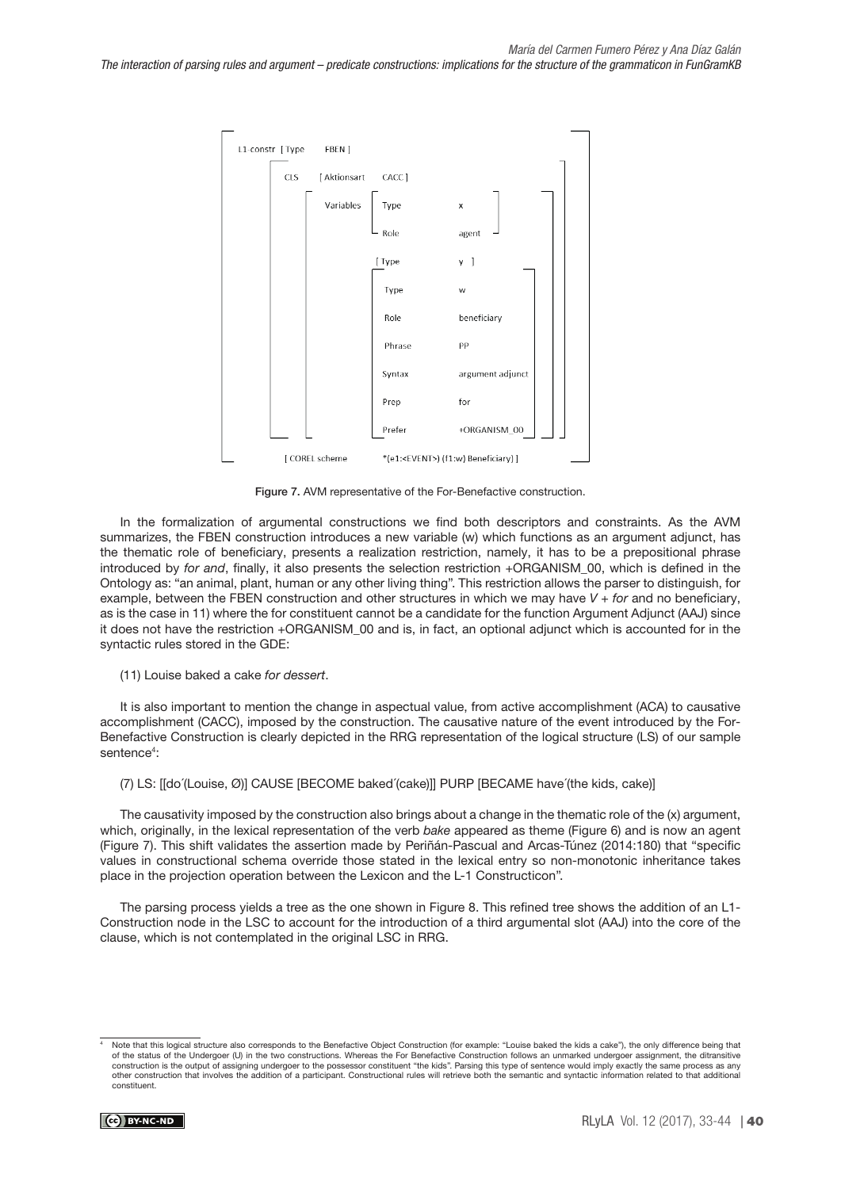

Figure 7. AVM representative of the For-Benefactive construction.

In the formalization of argumental constructions we find both descriptors and constraints. As the AVM summarizes, the FBEN construction introduces a new variable (w) which functions as an argument adjunct, has the thematic role of beneficiary, presents a realization restriction, namely, it has to be a prepositional phrase introduced by for and, finally, it also presents the selection restriction +ORGANISM\_00, which is defined in the Ontology as: "an animal, plant, human or any other living thing". This restriction allows the parser to distinguish, for example, between the FBEN construction and other structures in which we may have  $V + for$  and no beneficiary, as is the case in 11) where the for constituent cannot be a candidate for the function Argument Adjunct (AAJ) since it does not have the restriction +ORGANISM\_00 and is, in fact, an optional adjunct which is accounted for in the syntactic rules stored in the GDE:

(11) Louise baked a cake for dessert.

It is also important to mention the change in aspectual value, from active accomplishment (ACA) to causative accomplishment (CACC), imposed by the construction. The causative nature of the event introduced by the For-Benefactive Construction is clearly depicted in the RRG representation of the logical structure (LS) of our sample sentence<sup>4</sup>:

(7) LS: [[do´(Louise, Ø)] CAUSE [BECOME baked´(cake)]] PURP [BECAME have´(the kids, cake)]

The causativity imposed by the construction also brings about a change in the thematic role of the (x) argument, which, originally, in the lexical representation of the verb bake appeared as theme (Figure 6) and is now an agent (Figure 7). This shift validates the assertion made by Periñán-Pascual and Arcas-Túnez (2014:180) that "specific values in constructional schema override those stated in the lexical entry so non-monotonic inheritance takes place in the projection operation between the Lexicon and the L-1 Constructicon".

The parsing process yields a tree as the one shown in Figure 8. This refined tree shows the addition of an L1- Construction node in the LSC to account for the introduction of a third argumental slot (AAJ) into the core of the clause, which is not contemplated in the original LSC in RRG.

Note that this logical structure also corresponds to the Benefactive Object Construction (for example: "Louise baked the kids a cake"), the only difference being that of the status of the Undergoer (U) in the two constructions. Whereas the For Benefactive Construction follows an unmarked undergoer assignment, the ditransitive<br>construction is the output of assigning undergoer to the poss other construction that involves the addition of a participant. Constructional rules will retrieve both the semantic and syntactic information related to that additional constituent.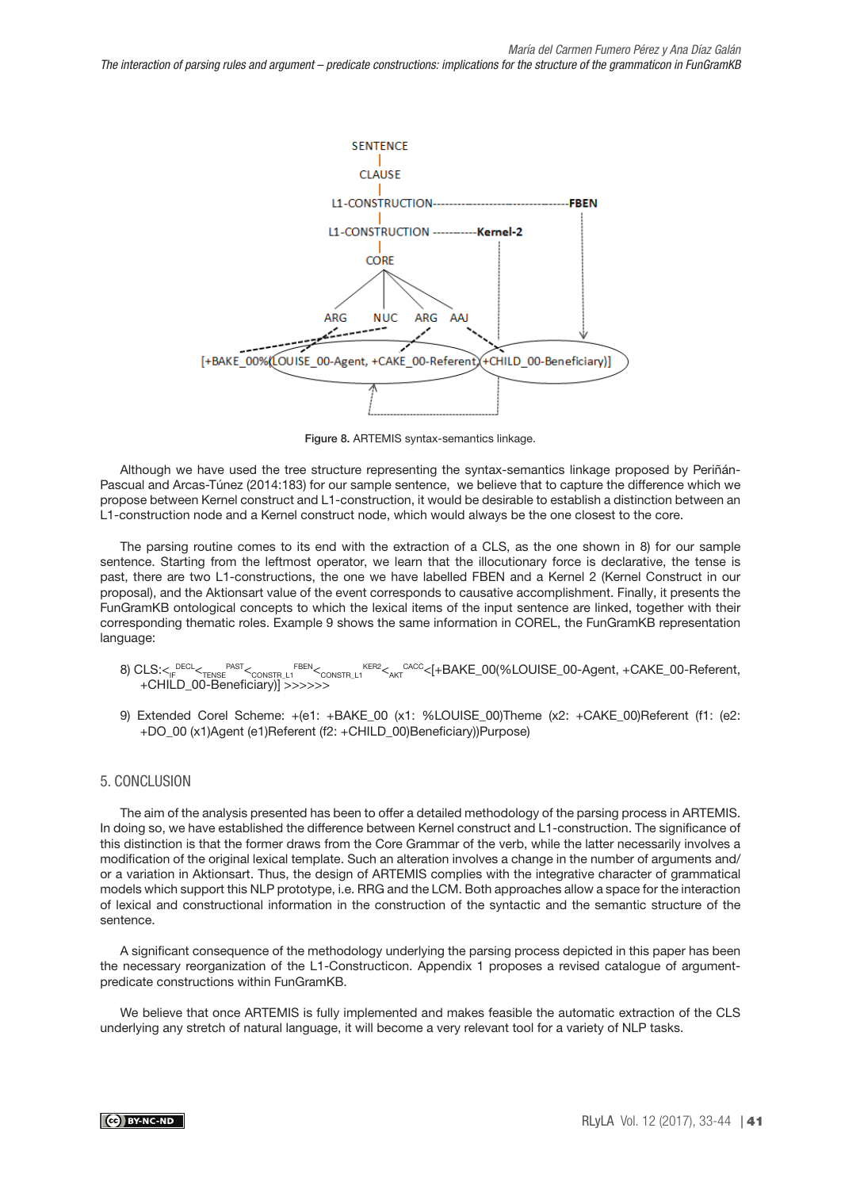*The interaction of parsing rules and argument – predicate constructions: implications for the structure of the grammaticon in FunGramKB*



Figure 8. ARTEMIS syntax-semantics linkage.

Although we have used the tree structure representing the syntax-semantics linkage proposed by Periñán-Pascual and Arcas-Túnez (2014:183) for our sample sentence, we believe that to capture the difference which we propose between Kernel construct and L1-construction, it would be desirable to establish a distinction between an L1-construction node and a Kernel construct node, which would always be the one closest to the core.

The parsing routine comes to its end with the extraction of a CLS, as the one shown in 8) for our sample sentence. Starting from the leftmost operator, we learn that the illocutionary force is declarative, the tense is past, there are two L1-constructions, the one we have labelled FBEN and a Kernel 2 (Kernel Construct in our proposal), and the Aktionsart value of the event corresponds to causative accomplishment. Finally, it presents the FunGramKB ontological concepts to which the lexical items of the input sentence are linked, together with their corresponding thematic roles. Example 9 shows the same information in COREL, the FunGramKB representation language:

- 8) CLS:< $_{\rm IF}$ <sup>DECL</sup><<sub>TENSE</sub> PAST<<sub>CONSTR\_L1</sub> FBEN<<sub>CONSTR\_L1</sub> KER2<<sub>AKT</sub> <sup>CACC</sup><[+BAKE\_00(%LOUISE\_00-Agent, +CAKE\_00-Referent, +CHILD\_00-Beneficiary)] >>>>>>
- 9) Extended Corel Scheme: +(e1: +BAKE\_00 (x1: %LOUISE\_00)Theme (x2: +CAKE\_00)Referent (f1: (e2: +DO\_00 (x1)Agent (e1)Referent (f2: +CHILD\_00)Beneficiary))Purpose)

# 5. CONCLUSION

The aim of the analysis presented has been to offer a detailed methodology of the parsing process in ARTEMIS. In doing so, we have established the difference between Kernel construct and L1-construction. The significance of this distinction is that the former draws from the Core Grammar of the verb, while the latter necessarily involves a modification of the original lexical template. Such an alteration involves a change in the number of arguments and/ or a variation in Aktionsart. Thus, the design of ARTEMIS complies with the integrative character of grammatical models which support this NLP prototype, i.e. RRG and the LCM. Both approaches allow a space for the interaction of lexical and constructional information in the construction of the syntactic and the semantic structure of the sentence.

A significant consequence of the methodology underlying the parsing process depicted in this paper has been the necessary reorganization of the L1-Constructicon. Appendix 1 proposes a revised catalogue of argumentpredicate constructions within FunGramKB.

We believe that once ARTEMIS is fully implemented and makes feasible the automatic extraction of the CLS underlying any stretch of natural language, it will become a very relevant tool for a variety of NLP tasks.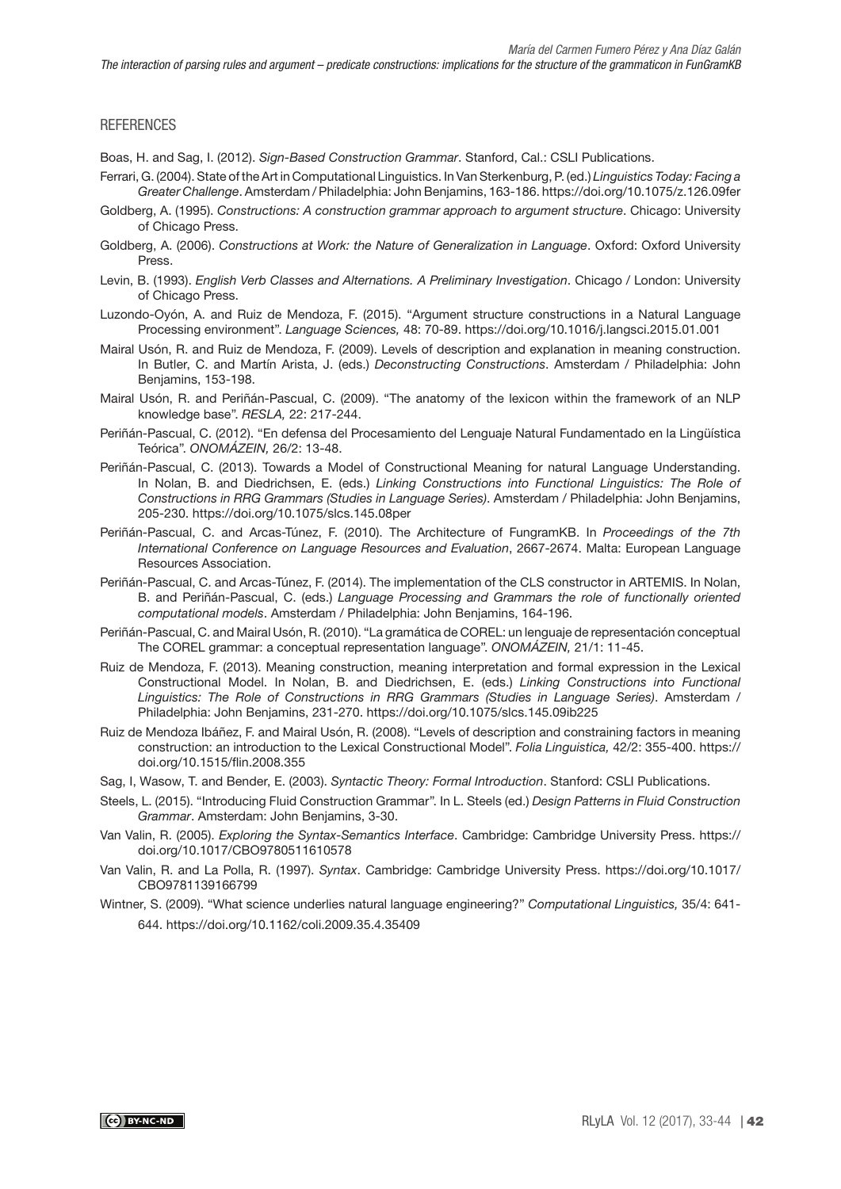### **REFERENCES**

Boas, H. and Sag, I. (2012). Sign-Based Construction Grammar. Stanford, Cal.: CSLI Publications.

- Ferrari, G. (2004). State of the Art in Computational Linguistics. In Van Sterkenburg, P. (ed.) Linguistics Today: Facing a Greater Challenge. Amsterdam / Philadelphia: John Benjamins, 163-186.<https://doi.org/10.1075/z.126.09fer>
- Goldberg, A. (1995). Constructions: A construction grammar approach to argument structure. Chicago: University of Chicago Press.
- Goldberg, A. (2006). Constructions at Work: the Nature of Generalization in Language. Oxford: Oxford University Press.
- Levin, B. (1993). English Verb Classes and Alternations. A Preliminary Investigation. Chicago / London: University of Chicago Press.
- Luzondo-Oyón, A. and Ruiz de Mendoza, F. (2015). "Argument structure constructions in a Natural Language Processing environment". Language Sciences, 48: 70-89.<https://doi.org/10.1016/j.langsci.2015.01.001>
- Mairal Usón, R. and Ruiz de Mendoza, F. (2009). Levels of description and explanation in meaning construction. In Butler, C. and Martín Arista, J. (eds.) Deconstructing Constructions. Amsterdam / Philadelphia: John Benjamins, 153-198.
- Mairal Usón, R. and Periñán-Pascual, C. (2009). "The anatomy of the lexicon within the framework of an NLP knowledge base". RESLA, 22: 217-244.
- Periñán-Pascual, C. (2012). "En defensa del Procesamiento del Lenguaje Natural Fundamentado en la Lingüística Teórica". ONOMÁZEIN, 26/2: 13-48.
- Periñán-Pascual, C. (2013). Towards a Model of Constructional Meaning for natural Language Understanding. In Nolan, B. and Diedrichsen, E. (eds.) Linking Constructions into Functional Linguistics: The Role of Constructions in RRG Grammars (Studies in Language Series). Amsterdam / Philadelphia: John Benjamins, 205-230.<https://doi.org/10.1075/slcs.145.08per>
- Periñán-Pascual, C. and Arcas-Túnez, F. (2010). The Architecture of FungramKB. In Proceedings of the 7th International Conference on Language Resources and Evaluation, 2667-2674. Malta: European Language Resources Association.
- Periñán-Pascual, C. and Arcas-Túnez, F. (2014). The implementation of the CLS constructor in ARTEMIS. In Nolan, B. and Periñán-Pascual, C. (eds.) Language Processing and Grammars the role of functionally oriented computational models. Amsterdam / Philadelphia: John Benjamins, 164-196.
- Periñán-Pascual, C. and Mairal Usón, R. (2010). "La gramática de COREL: un lenguaje de representación conceptual The COREL grammar: a conceptual representation language". ONOMÁZEIN, 21/1: 11-45.
- Ruiz de Mendoza, F. (2013). Meaning construction, meaning interpretation and formal expression in the Lexical Constructional Model. In Nolan, B. and Diedrichsen, E. (eds.) Linking Constructions into Functional Linguistics: The Role of Constructions in RRG Grammars (Studies in Language Series). Amsterdam / Philadelphia: John Benjamins, 231-270. <https://doi.org/10.1075/slcs.145.09ib225>
- Ruiz de Mendoza Ibáñez, F. and Mairal Usón, R. (2008). "Levels of description and constraining factors in meaning construction: an introduction to the Lexical Constructional Model". Folia Linguistica, 42/2: 355-400. [https://](https://doi.org/10.1515/flin.2008.355) [doi.org/10.1515/flin.2008.355](https://doi.org/10.1515/flin.2008.355)
- Sag, I, Wasow, T. and Bender, E. (2003). Syntactic Theory: Formal Introduction. Stanford: CSLI Publications.
- Steels, L. (2015). "Introducing Fluid Construction Grammar". In L. Steels (ed.) Design Patterns in Fluid Construction Grammar. Amsterdam: John Benjamins, 3-30.
- Van Valin, R. (2005). Exploring the Syntax-Semantics Interface. Cambridge: Cambridge University Press. [https://](https://doi.org/10.1017/CBO9780511610578) [doi.org/10.1017/CBO9780511610578](https://doi.org/10.1017/CBO9780511610578)
- Van Valin, R. and La Polla, R. (1997). Syntax. Cambridge: Cambridge University Press. [https://doi.org/10.1017/](https://doi.org/10.1017/CBO9781139166799) [CBO9781139166799](https://doi.org/10.1017/CBO9781139166799)
- Wintner, S. (2009). "What science underlies natural language engineering?" Computational Linguistics, 35/4: 641- 644. <https://doi.org/10.1162/coli.2009.35.4.35409>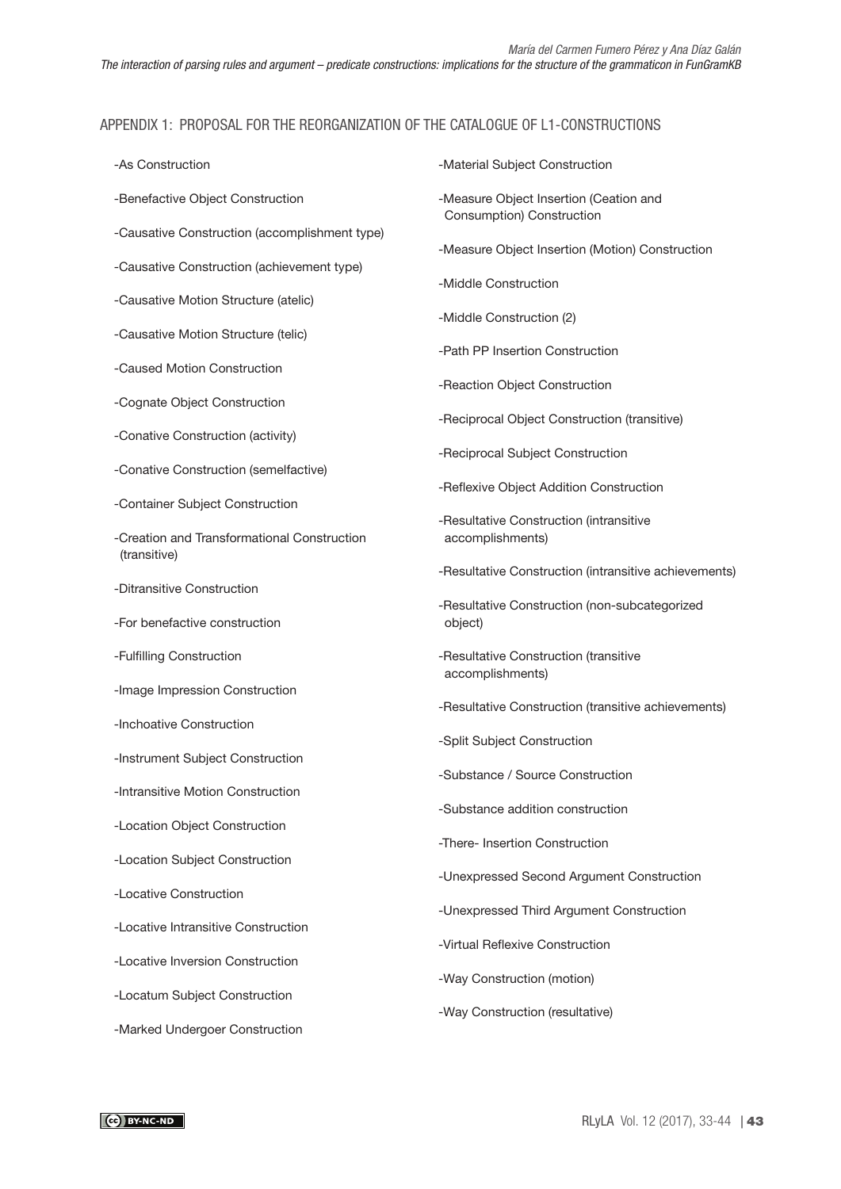# APPENDIX 1: PROPOSAL FOR THE REORGANIZATION OF THE CATALOGUE OF L1-CONSTRUCTIONS

| -As Construction                                            | -Material Subject Construction                                                     |  |  |  |
|-------------------------------------------------------------|------------------------------------------------------------------------------------|--|--|--|
| -Benefactive Object Construction                            | -Measure Object Insertion (Ceation and<br>Consumption) Construction                |  |  |  |
| -Causative Construction (accomplishment type)               | -Measure Object Insertion (Motion) Construction                                    |  |  |  |
| -Causative Construction (achievement type)                  | -Middle Construction                                                               |  |  |  |
| -Causative Motion Structure (atelic)                        | -Middle Construction (2)                                                           |  |  |  |
| -Causative Motion Structure (telic)                         | -Path PP Insertion Construction                                                    |  |  |  |
| -Caused Motion Construction                                 | -Reaction Object Construction                                                      |  |  |  |
| -Cognate Object Construction                                | -Reciprocal Object Construction (transitive)                                       |  |  |  |
| -Conative Construction (activity)                           | -Reciprocal Subject Construction                                                   |  |  |  |
| -Conative Construction (semelfactive)                       | -Reflexive Object Addition Construction                                            |  |  |  |
| -Container Subject Construction                             | -Resultative Construction (intransitive<br>accomplishments)                        |  |  |  |
| -Creation and Transformational Construction<br>(transitive) |                                                                                    |  |  |  |
| -Ditransitive Construction                                  | -Resultative Construction (intransitive achievements)                              |  |  |  |
| -For benefactive construction                               | -Resultative Construction (non-subcategorized<br>object)                           |  |  |  |
| -Fulfilling Construction                                    | -Resultative Construction (transitive<br>accomplishments)                          |  |  |  |
| -Image Impression Construction                              |                                                                                    |  |  |  |
| -Inchoative Construction                                    | -Resultative Construction (transitive achievements)<br>-Split Subject Construction |  |  |  |
| -Instrument Subject Construction                            | -Substance / Source Construction                                                   |  |  |  |
| -Intransitive Motion Construction                           | -Substance addition construction                                                   |  |  |  |
| -Location Object Construction                               | -There- Insertion Construction                                                     |  |  |  |
| -Location Subject Construction                              | -Unexpressed Second Argument Construction                                          |  |  |  |
| -Locative Construction                                      |                                                                                    |  |  |  |
| -Locative Intransitive Construction                         | -Unexpressed Third Argument Construction<br>-Virtual Reflexive Construction        |  |  |  |
| -Locative Inversion Construction                            | -Way Construction (motion)                                                         |  |  |  |
| -Locatum Subject Construction                               | -Way Construction (resultative)                                                    |  |  |  |
| -Marked Undergoer Construction                              |                                                                                    |  |  |  |
|                                                             |                                                                                    |  |  |  |